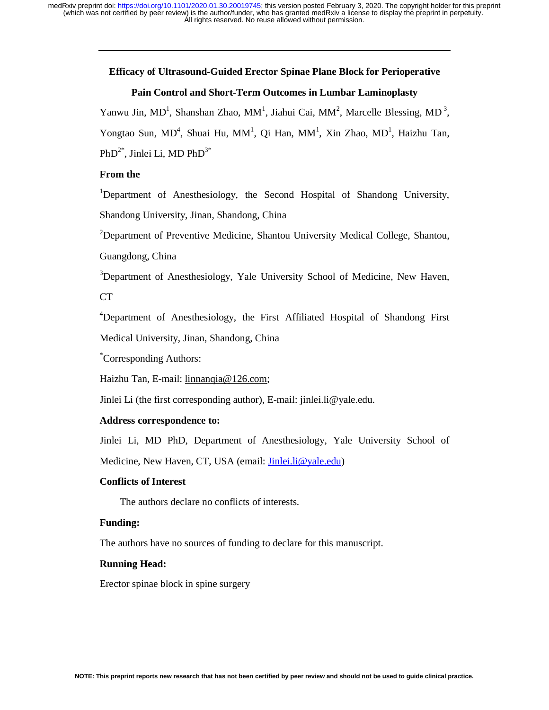# **Efficacy of Ultrasound-Guided Erector Spinae Plane Block for Perioperative**

## **Pain Control and Short-Term Outcomes in Lumbar Laminoplasty**

Yanwu Jin, MD<sup>1</sup>, Shanshan Zhao, MM<sup>1</sup>, Jiahui Cai, MM<sup>2</sup>, Marcelle Blessing, MD<sup>3</sup>, Yongtao Sun, MD<sup>4</sup>, Shuai Hu, MM<sup>1</sup>, Qi Han, MM<sup>1</sup>, Xin Zhao, MD<sup>1</sup>, Haizhu Tan,  $PhD^{2*}$ , Jinlei Li, MD  $PhD^{3*}$ 

# **From the**

<sup>1</sup>Department of Anesthesiology, the Second Hospital of Shandong University, Shandong University, Jinan, Shandong, China

<sup>2</sup>Department of Preventive Medicine, Shantou University Medical College, Shantou,

Guangdong, China

<sup>3</sup>Department of Anesthesiology, Yale University School of Medicine, New Haven,

CT

<sup>4</sup>Department of Anesthesiology, the First Affiliated Hospital of Shandong First Medical University, Jinan, Shandong, China

\* Corresponding Authors:

Haizhu Tan, E-mail: linnanqia@126.com;

Jinlei Li (the first corresponding author), E-mail: jinlei.li@yale.edu.

## **Address correspondence to:**

Jinlei Li, MD PhD, Department of Anesthesiology, Yale University School of

Medicine, New Haven, CT, USA (email: Jinlei.li@yale.edu)

#### **Conflicts of Interest**

The authors declare no conflicts of interests.

# **Funding:**

The authors have no sources of funding to declare for this manuscript.

## **Running Head:**

Erector spinae block in spine surgery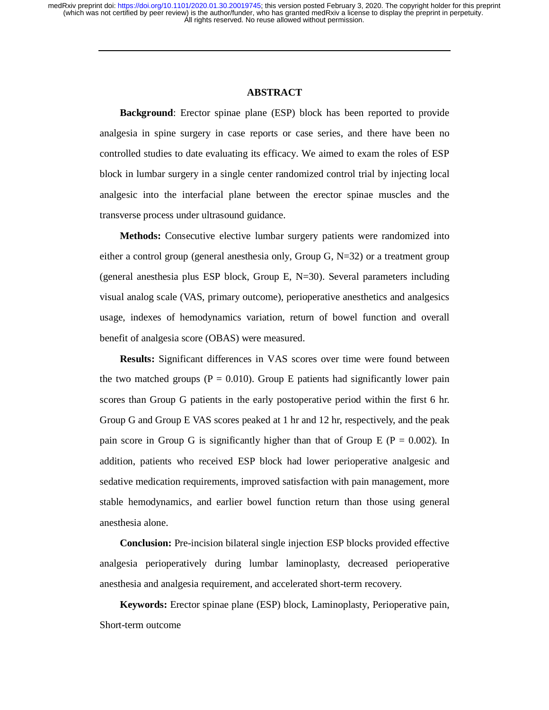#### **ABSTRACT**

**Background**: Erector spinae plane (ESP) block has been reported to provide analgesia in spine surgery in case reports or case series, and there have been no controlled studies to date evaluating its efficacy. We aimed to exam the roles of ESP block in lumbar surgery in a single center randomized control trial by injecting local analgesic into the interfacial plane between the erector spinae muscles and the transverse process under ultrasound guidance.

**Methods:** Consecutive elective lumbar surgery patients were randomized into either a control group (general anesthesia only, Group G,  $N=32$ ) or a treatment group (general anesthesia plus ESP block, Group E,  $N=30$ ). Several parameters including visual analog scale (VAS, primary outcome), perioperative anesthetics and analgesics usage, indexes of hemodynamics variation, return of bowel function and overall benefit of analgesia score (OBAS) were measured.

**Results:** Significant differences in VAS scores over time were found between the two matched groups ( $P = 0.010$ ). Group E patients had significantly lower pain scores than Group G patients in the early postoperative period within the first 6 hr. Group G and Group E VAS scores peaked at 1 hr and 12 hr, respectively, and the peak pain score in Group G is significantly higher than that of Group E ( $P = 0.002$ ). In addition, patients who received ESP block had lower perioperative analgesic and sedative medication requirements, improved satisfaction with pain management, more stable hemodynamics, and earlier bowel function return than those using general anesthesia alone.

**Conclusion:** Pre-incision bilateral single injection ESP blocks provided effective analgesia perioperatively during lumbar laminoplasty, decreased perioperative anesthesia and analgesia requirement, and accelerated short-term recovery.

**Keywords:** Erector spinae plane (ESP) block, Laminoplasty, Perioperative pain, Short-term outcome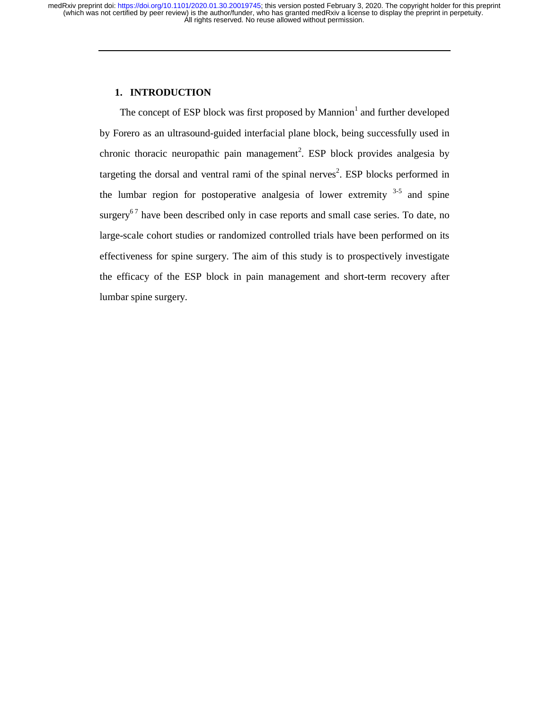# **1. INTRODUCTION**

The concept of ESP block was first proposed by Mannion<sup>1</sup> and further developed by Forero as an ultrasound-guided interfacial plane block, being successfully used in chronic thoracic neuropathic pain management<sup>2</sup>. ESP block provides analgesia by targeting the dorsal and ventral rami of the spinal nerves<sup>2</sup>. ESP blocks performed in the lumbar region for postoperative analgesia of lower extremity  $3-5$  and spine surgery<sup>67</sup> have been described only in case reports and small case series. To date, no large-scale cohort studies or randomized controlled trials have been performed on its effectiveness for spine surgery. The aim of this study is to prospectively investigate the efficacy of the ESP block in pain management and short-term recovery after lumbar spine surgery.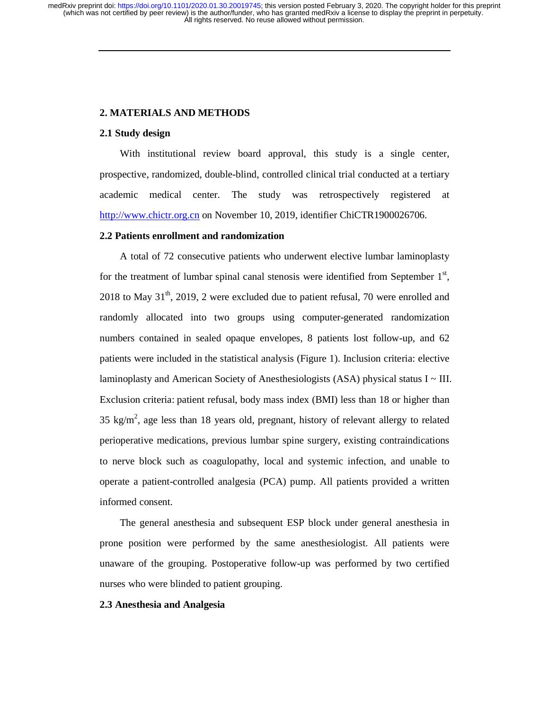# **2. MATERIALS AND METHODS**

## **2.1 Study design**

With institutional review board approval, this study is a single center, prospective, randomized, double-blind, controlled clinical trial conducted at a tertiary academic medical center. The study was retrospectively registered at http://www.chictr.org.cn on November 10, 2019, identifier ChiCTR1900026706.

## **2.2 Patients enrollment and randomization**

A total of 72 consecutive patients who underwent elective lumbar laminoplasty for the treatment of lumbar spinal canal stenosis were identified from September  $1<sup>st</sup>$ ,  $2018$  to May  $31<sup>th</sup>$ ,  $2019$ , 2 were excluded due to patient refusal, 70 were enrolled and randomly allocated into two groups using computer-generated randomization numbers contained in sealed opaque envelopes, 8 patients lost follow-up, and 62 patients were included in the statistical analysis (Figure 1). Inclusion criteria: elective laminoplasty and American Society of Anesthesiologists (ASA) physical status I ~ III. Exclusion criteria: patient refusal, body mass index (BMI) less than 18 or higher than 35 kg/ $m^2$ , age less than 18 years old, pregnant, history of relevant allergy to related perioperative medications, previous lumbar spine surgery, existing contraindications to nerve block such as coagulopathy, local and systemic infection, and unable to operate a patient-controlled analgesia (PCA) pump. All patients provided a written informed consent.

The general anesthesia and subsequent ESP block under general anesthesia in prone position were performed by the same anesthesiologist. All patients were unaware of the grouping. Postoperative follow-up was performed by two certified nurses who were blinded to patient grouping.

#### **2.3 Anesthesia and Analgesia**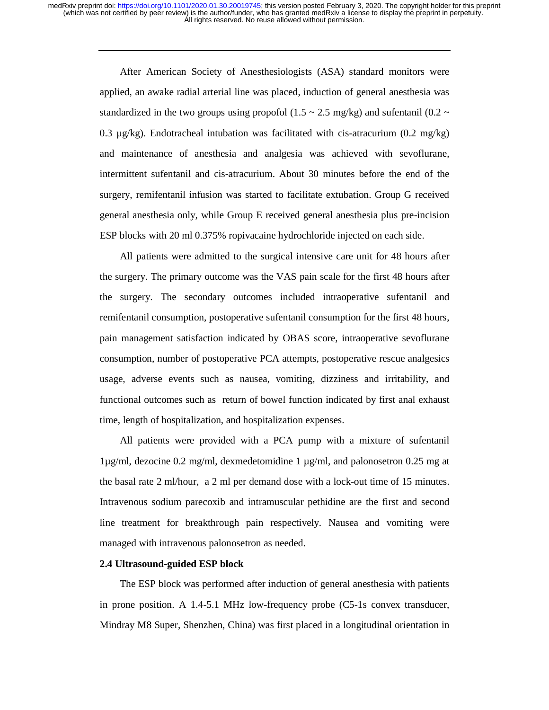> After American Society of Anesthesiologists (ASA) standard monitors were applied, an awake radial arterial line was placed, induction of general anesthesia was standardized in the two groups using propofol (1.5  $\sim$  2.5 mg/kg) and sufentanil (0.2  $\sim$ 0.3  $\mu$ g/kg). Endotracheal intubation was facilitated with cis-atracurium (0.2 mg/kg) and maintenance of anesthesia and analgesia was achieved with sevoflurane, intermittent sufentanil and cis-atracurium. About 30 minutes before the end of the surgery, remifentanil infusion was started to facilitate extubation. Group G received general anesthesia only, while Group E received general anesthesia plus pre-incision ESP blocks with 20 ml 0.375% ropivacaine hydrochloride injected on each side.

> All patients were admitted to the surgical intensive care unit for 48 hours after the surgery. The primary outcome was the VAS pain scale for the first 48 hours after the surgery. The secondary outcomes included intraoperative sufentanil and remifentanil consumption, postoperative sufentanil consumption for the first 48 hours, pain management satisfaction indicated by OBAS score, intraoperative sevoflurane consumption, number of postoperative PCA attempts, postoperative rescue analgesics usage, adverse events such as nausea, vomiting, dizziness and irritability, and functional outcomes such as return of bowel function indicated by first anal exhaust time, length of hospitalization, and hospitalization expenses.

> All patients were provided with a PCA pump with a mixture of sufentanil 1µg/ml, dezocine 0.2 mg/ml, dexmedetomidine 1 µg/ml, and palonosetron 0.25 mg at the basal rate 2 ml/hour, a 2 ml per demand dose with a lock-out time of 15 minutes. Intravenous sodium parecoxib and intramuscular pethidine are the first and second line treatment for breakthrough pain respectively. Nausea and vomiting were managed with intravenous palonosetron as needed.

# **2.4 Ultrasound-guided ESP block**

The ESP block was performed after induction of general anesthesia with patients in prone position. A 1.4-5.1 MHz low-frequency probe (C5-1s convex transducer, Mindray M8 Super, Shenzhen, China) was first placed in a longitudinal orientation in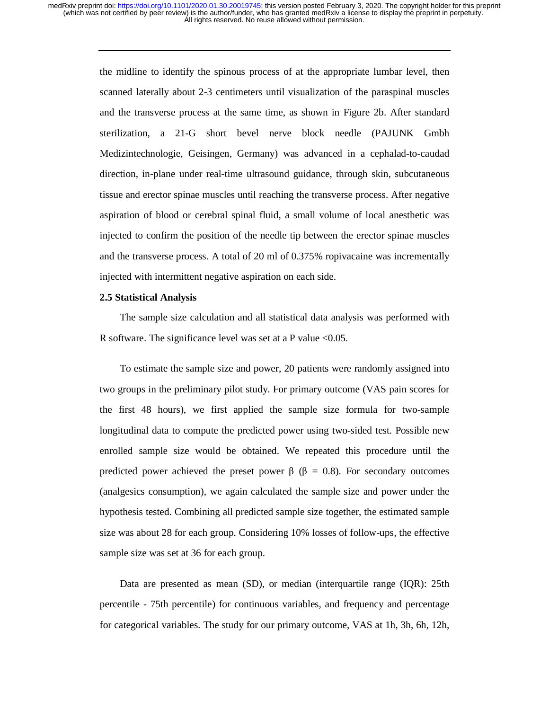> the midline to identify the spinous process of at the appropriate lumbar level, then scanned laterally about 2-3 centimeters until visualization of the paraspinal muscles and the transverse process at the same time, as shown in Figure 2b. After standard sterilization, a 21-G short bevel nerve block needle (PAJUNK Gmbh Medizintechnologie, Geisingen, Germany) was advanced in a cephalad-to-caudad direction, in-plane under real-time ultrasound guidance, through skin, subcutaneous tissue and erector spinae muscles until reaching the transverse process. After negative aspiration of blood or cerebral spinal fluid, a small volume of local anesthetic was injected to confirm the position of the needle tip between the erector spinae muscles and the transverse process. A total of 20 ml of 0.375% ropivacaine was incrementally injected with intermittent negative aspiration on each side.

#### **2.5 Statistical Analysis**

The sample size calculation and all statistical data analysis was performed with R software. The significance level was set at a P value  $<0.05$ .

To estimate the sample size and power, 20 patients were randomly assigned into two groups in the preliminary pilot study. For primary outcome (VAS pain scores for the first 48 hours), we first applied the sample size formula for two-sample longitudinal data to compute the predicted power using two-sided test. Possible new enrolled sample size would be obtained. We repeated this procedure until the predicted power achieved the preset power β (β = 0.8). For secondary outcomes (analgesics consumption), we again calculated the sample size and power under the hypothesis tested. Combining all predicted sample size together, the estimated sample size was about 28 for each group. Considering 10% losses of follow-ups, the effective sample size was set at 36 for each group.

Data are presented as mean (SD), or median (interquartile range (IQR): 25th percentile - 75th percentile) for continuous variables, and frequency and percentage for categorical variables. The study for our primary outcome, VAS at 1h, 3h, 6h, 12h,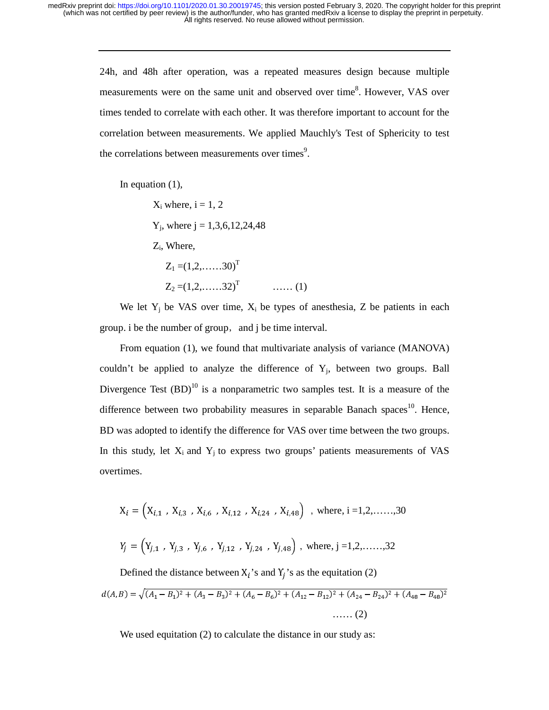24h, and 48h after operation, was a repeated measures design because multiple measurements were on the same unit and observed over time<sup>8</sup>. However, VAS over times tended to correlate with each other. It was therefore important to account for the correlation between measurements. We applied Mauchly's Test of Sphericity to test the correlations between measurements over times<sup>9</sup>.

In equation (1),

 $X_i$  where,  $i = 1, 2$  $Y_i$ , where  $j = 1,3,6,12,24,48$ Zi, Where,

 $Z_1 = (1, 2, \ldots, 30)^T$  $Z_2 = (1, 2, \dots, 32)^T$  (1)

We let  $Y_i$  be VAS over time,  $X_i$  be types of anesthesia, Z be patients in each group. i be the number of group, and j be time interval.

From equation (1), we found that multivariate analysis of variance (MANOVA) couldn't be applied to analyze the difference of  $Y_i$ , between two groups. Ball Divergence Test  $(BD)^{10}$  is a nonparametric two samples test. It is a measure of the difference between two probability measures in separable Banach spaces<sup>10</sup>. Hence, BD was adopted to identify the difference for VAS over time between the two groups. In this study, let  $X_i$  and  $Y_j$  to express two groups' patients measurements of VAS overtimes.

$$
X_i = (X_{i,1} , X_{i,3} , X_{i,6} , X_{i,12} , X_{i,24} , X_{i,48}) \text{ , where, } i = 1, 2, \dots, 30
$$
  

$$
Y_j = (Y_{j,1} , Y_{j,3} , Y_{j,6} , Y_{j,12} , Y_{j,24} , Y_{j,48}) \text{ , where, } j = 1, 2, \dots, 32
$$

Defined the distance between  $X_i$ 's and  $Y_i$ 's as the equitation (2)  $u(A, D) = \sqrt{(A_1 - D_1)^2 + (A_3 - D_3)^2 + (A_6 - D_6)^2 + (A_{12} - D_{12})^2 + (A_{24} - D_{24})^2 + (A_{48} - D_{48})^2}$ …… (2)

We used equitation (2) to calculate the distance in our study as: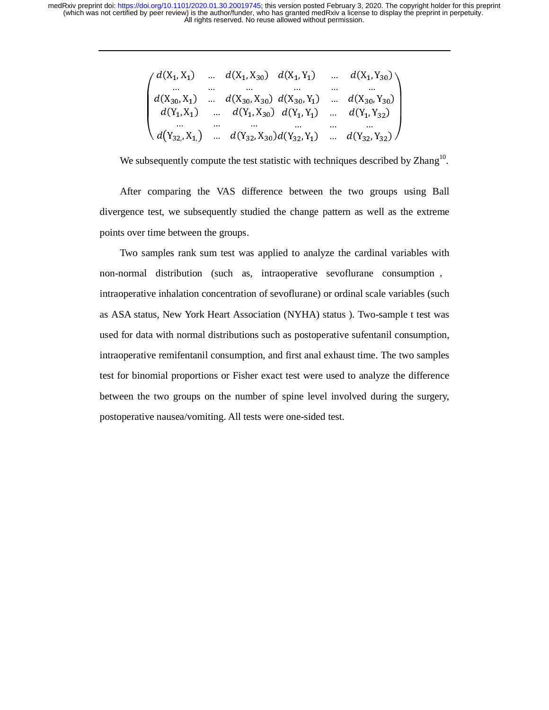$$
\begin{pmatrix}\nd(X_1, X_1) & \dots & d(X_1, X_{30}) & d(X_1, Y_1) & \dots & d(X_1, Y_{30}) \\
\dots & \dots & \dots & \dots & \dots \\
d(X_{30}, X_1) & \dots & d(X_{30}, X_{30}) & d(X_{30}, Y_1) & \dots & d(X_{30}, Y_{30}) \\
d(Y_1, X_1) & \dots & d(Y_1, X_{30}) & d(Y_1, Y_1) & \dots & d(Y_1, Y_{32}) \\
\dots & \dots & \dots & \dots & \dots & \dots \\
d(Y_{32}, X_1) & \dots & d(Y_{32}, X_{30})d(Y_{32}, Y_1) & \dots & d(Y_{32}, Y_{32})\n\end{pmatrix}
$$

We subsequently compute the test statistic with techniques described by Zhang<sup>10</sup>.

After comparing the VAS difference between the two groups using Ball divergence test, we subsequently studied the change pattern as well as the extreme points over time between the groups.

Two samples rank sum test was applied to analyze the cardinal variables with non-normal distribution (such as, intraoperative sevoflurane consumption , intraoperative inhalation concentration of sevoflurane) or ordinal scale variables (such as ASA status, New York Heart Association (NYHA) status ). Two-sample t test was used for data with normal distributions such as postoperative sufentanil consumption, intraoperative remifentanil consumption, and first anal exhaust time. The two samples test for binomial proportions or Fisher exact test were used to analyze the difference between the two groups on the number of spine level involved during the surgery, postoperative nausea/vomiting. All tests were one-sided test.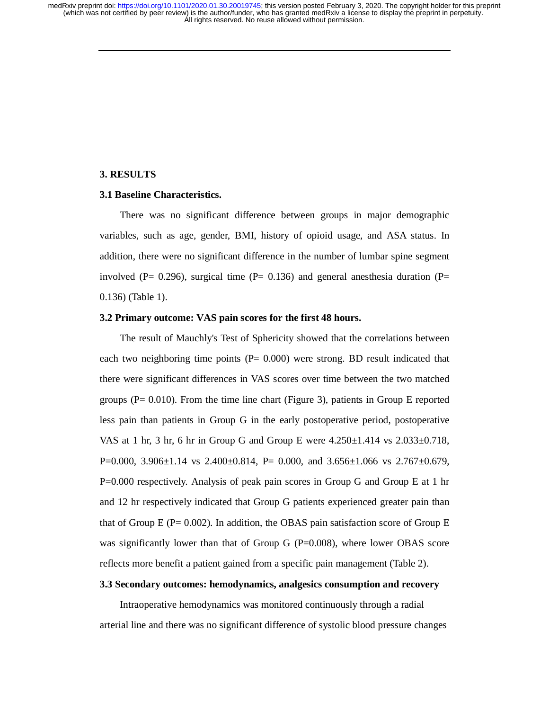### **3. RESULTS**

#### **3.1 Baseline Characteristics.**

There was no significant difference between groups in major demographic variables, such as age, gender, BMI, history of opioid usage, and ASA status. In addition, there were no significant difference in the number of lumbar spine segment involved ( $P = 0.296$ ), surgical time ( $P = 0.136$ ) and general anesthesia duration ( $P = 0.296$ ) 0.136) (Table 1).

#### **3.2 Primary outcome: VAS pain scores for the first 48 hours.**

The result of Mauchly's Test of Sphericity showed that the correlations between each two neighboring time points  $(P= 0.000)$  were strong. BD result indicated that there were significant differences in VAS scores over time between the two matched groups  $(P = 0.010)$ . From the time line chart (Figure 3), patients in Group E reported less pain than patients in Group G in the early postoperative period, postoperative VAS at 1 hr, 3 hr, 6 hr in Group G and Group E were  $4.250 \pm 1.414$  vs  $2.033 \pm 0.718$ , P=0.000, 3.906 $\pm$ 1.14 vs 2.400 $\pm$ 0.814, P= 0.000, and 3.656 $\pm$ 1.066 vs 2.767 $\pm$ 0.679, P=0.000 respectively. Analysis of peak pain scores in Group G and Group E at 1 hr and 12 hr respectively indicated that Group G patients experienced greater pain than that of Group E ( $P = 0.002$ ). In addition, the OBAS pain satisfaction score of Group E was significantly lower than that of Group G ( $P=0.008$ ), where lower OBAS score reflects more benefit a patient gained from a specific pain management (Table 2).

# **3.3 Secondary outcomes: hemodynamics, analgesics consumption and recovery**

Intraoperative hemodynamics was monitored continuously through a radial arterial line and there was no significant difference of systolic blood pressure changes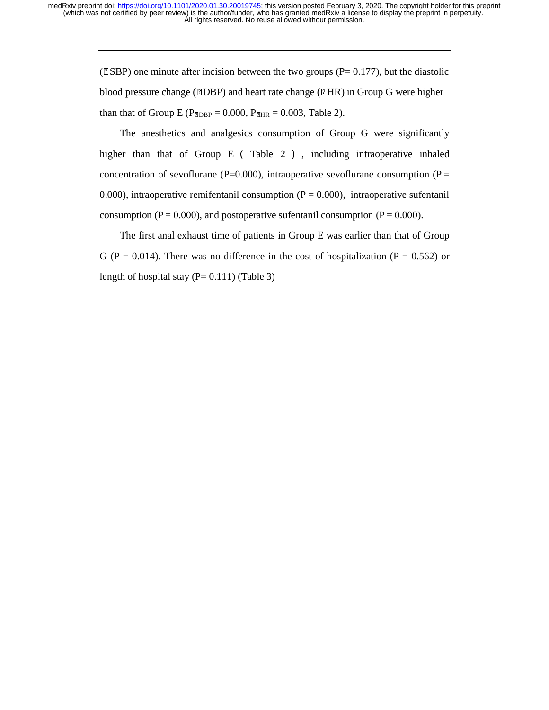( $\mathbb{ZS}$ SBP) one minute after incision between the two groups (P= 0.177), but the diastolic blood pressure change ( $\mathbb{Z}$ DBP) and heart rate change ( $\mathbb{Z}$ HR) in Group G were higher than that of Group E ( $P_{\text{EDBP}} = 0.000$ ,  $P_{\text{EHR}} = 0.003$ , Table 2).

The anesthetics and analgesics consumption of Group G were significantly higher than that of Group E (Table 2), including intraoperative inhaled concentration of sevoflurane (P=0.000), intraoperative sevoflurane consumption (P = 0.000), intraoperative remifentanil consumption  $(P = 0.000)$ , intraoperative sufentanil consumption ( $P = 0.000$ ), and postoperative sufentanil consumption ( $P = 0.000$ ).

The first anal exhaust time of patients in Group E was earlier than that of Group G (P = 0.014). There was no difference in the cost of hospitalization (P = 0.562) or length of hospital stay  $(P= 0.111)$  (Table 3)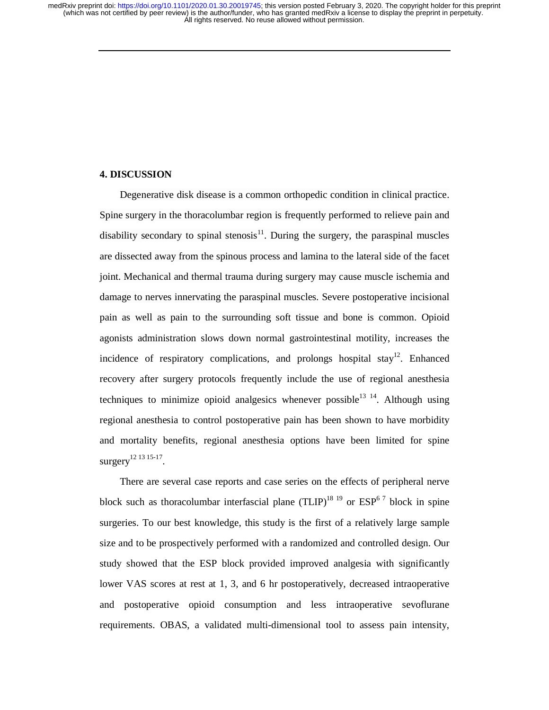# **4. DISCUSSION**

Degenerative disk disease is a common orthopedic condition in clinical practice. Spine surgery in the thoracolumbar region is frequently performed to relieve pain and disability secondary to spinal stenosis $11$ . During the surgery, the paraspinal muscles are dissected away from the spinous process and lamina to the lateral side of the facet joint. Mechanical and thermal trauma during surgery may cause muscle ischemia and damage to nerves innervating the paraspinal muscles. Severe postoperative incisional pain as well as pain to the surrounding soft tissue and bone is common. Opioid agonists administration slows down normal gastrointestinal motility, increases the incidence of respiratory complications, and prolongs hospital stay<sup>12</sup>. Enhanced recovery after surgery protocols frequently include the use of regional anesthesia techniques to minimize opioid analgesics whenever possible<sup>13 14</sup>. Although using regional anesthesia to control postoperative pain has been shown to have morbidity and mortality benefits, regional anesthesia options have been limited for spine surgery<sup>12</sup> <sup>13</sup> <sup>15-17</sup>.

There are several case reports and case series on the effects of peripheral nerve block such as thoracolumbar interfascial plane  $(TLIP)^{18}$  <sup>19</sup> or  $ESP^{6}$ <sup>7</sup> block in spine surgeries. To our best knowledge, this study is the first of a relatively large sample size and to be prospectively performed with a randomized and controlled design. Our study showed that the ESP block provided improved analgesia with significantly lower VAS scores at rest at 1, 3, and 6 hr postoperatively, decreased intraoperative and postoperative opioid consumption and less intraoperative sevoflurane requirements. OBAS, a validated multi-dimensional tool to assess pain intensity,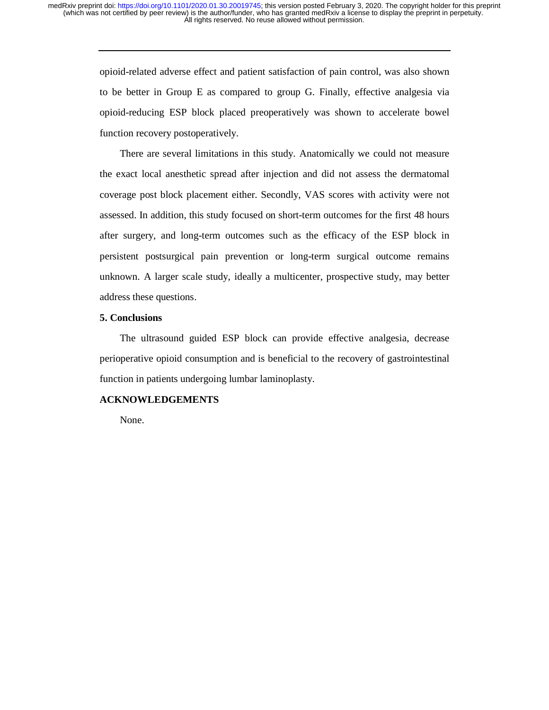opioid-related adverse effect and patient satisfaction of pain control, was also shown to be better in Group E as compared to group G. Finally, effective analgesia via opioid-reducing ESP block placed preoperatively was shown to accelerate bowel function recovery postoperatively.

There are several limitations in this study. Anatomically we could not measure the exact local anesthetic spread after injection and did not assess the dermatomal coverage post block placement either. Secondly, VAS scores with activity were not assessed. In addition, this study focused on short-term outcomes for the first 48 hours after surgery, and long-term outcomes such as the efficacy of the ESP block in persistent postsurgical pain prevention or long-term surgical outcome remains unknown. A larger scale study, ideally a multicenter, prospective study, may better address these questions.

#### **5. Conclusions**

The ultrasound guided ESP block can provide effective analgesia, decrease perioperative opioid consumption and is beneficial to the recovery of gastrointestinal function in patients undergoing lumbar laminoplasty.

# **ACKNOWLEDGEMENTS**

None.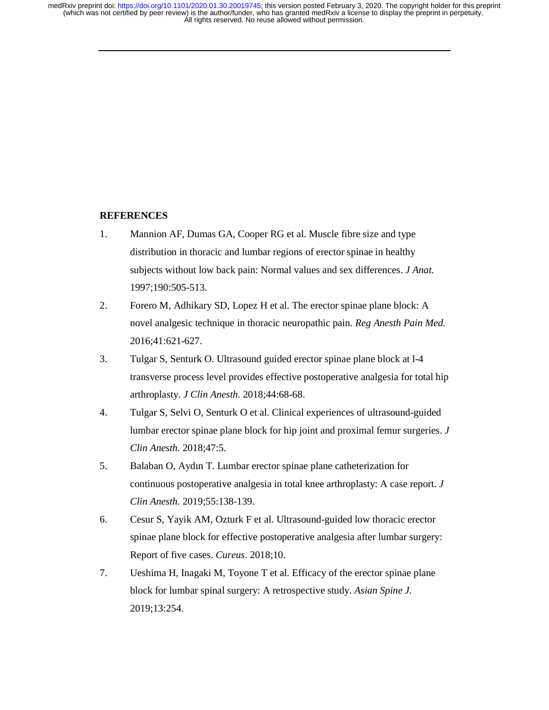# **REFERENCES**

- 1. Mannion AF, Dumas GA, Cooper RG et al. Muscle fibre size and type distribution in thoracic and lumbar regions of erector spinae in healthy subjects without low back pain: Normal values and sex differences. *J Anat.* 1997;190:505-513.
- 2. Forero M, Adhikary SD, Lopez H et al. The erector spinae plane block: A novel analgesic technique in thoracic neuropathic pain. *Reg Anesth Pain Med.* 2016;41:621-627.
- 3. Tulgar S, Senturk O. Ultrasound guided erector spinae plane block at l-4 transverse process level provides effective postoperative analgesia for total hip arthroplasty. *J Clin Anesth.* 2018;44:68-68.
- 4. Tulgar S, Selvi O, Senturk O et al. Clinical experiences of ultrasound-guided lumbar erector spinae plane block for hip joint and proximal femur surgeries. *J Clin Anesth.* 2018;47:5.
- 5. Balaban O, Aydın T. Lumbar erector spinae plane catheterization for continuous postoperative analgesia in total knee arthroplasty: A case report. *J Clin Anesth.* 2019;55:138-139.
- 6. Cesur S, Yayik AM, Ozturk F et al. Ultrasound-guided low thoracic erector spinae plane block for effective postoperative analgesia after lumbar surgery: Report of five cases. *Cureus.* 2018;10.
- 7. Ueshima H, Inagaki M, Toyone T et al. Efficacy of the erector spinae plane block for lumbar spinal surgery: A retrospective study. *Asian Spine J.*  2019;13:254.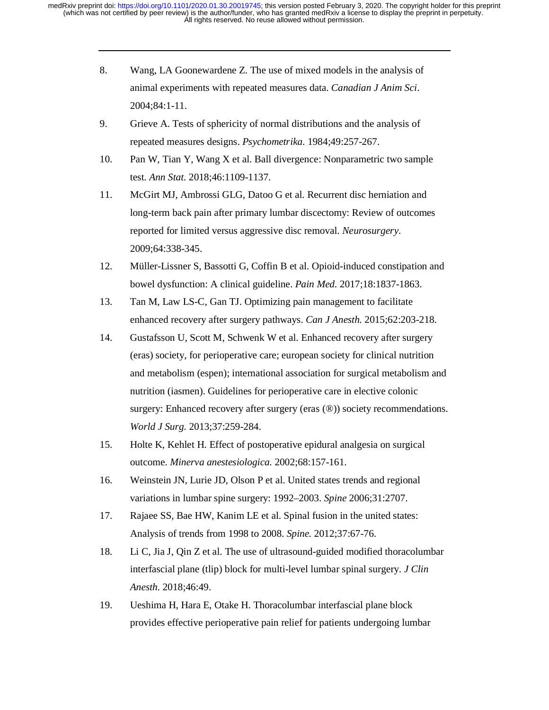- 8. Wang, LA Goonewardene Z. The use of mixed models in the analysis of animal experiments with repeated measures data. *Canadian J Anim Sci*. 2004;84:1-11.
- 9. Grieve A. Tests of sphericity of normal distributions and the analysis of repeated measures designs. *Psychometrika.* 1984;49:257-267.
- 10. Pan W, Tian Y, Wang X et al. Ball divergence: Nonparametric two sample test. *Ann Stat.* 2018;46:1109-1137.
- 11. McGirt MJ, Ambrossi GLG, Datoo G et al. Recurrent disc herniation and long-term back pain after primary lumbar discectomy: Review of outcomes reported for limited versus aggressive disc removal. *Neurosurgery*. 2009;64:338-345.
- 12. Müller-Lissner S, Bassotti G, Coffin B et al. Opioid-induced constipation and bowel dysfunction: A clinical guideline. *Pain Med.* 2017;18:1837-1863.
- 13. Tan M, Law LS-C, Gan TJ. Optimizing pain management to facilitate enhanced recovery after surgery pathways. *Can J Anesth.* 2015;62:203-218.
- 14. Gustafsson U, Scott M, Schwenk W et al. Enhanced recovery after surgery (eras) society, for perioperative care; european society for clinical nutrition and metabolism (espen); international association for surgical metabolism and nutrition (iasmen). Guidelines for perioperative care in elective colonic surgery: Enhanced recovery after surgery (eras  $(\circledast)$ ) society recommendations. *World J Surg.* 2013;37:259-284.
- 15. Holte K, Kehlet H. Effect of postoperative epidural analgesia on surgical outcome. *Minerva anestesiologica.* 2002;68:157-161.
- 16. Weinstein JN, Lurie JD, Olson P et al. United states trends and regional variations in lumbar spine surgery: 1992–2003. *Spine* 2006;31:2707.
- 17. Rajaee SS, Bae HW, Kanim LE et al. Spinal fusion in the united states: Analysis of trends from 1998 to 2008. *Spine.* 2012;37:67-76.
- 18. Li C, Jia J, Qin Z et al. The use of ultrasound-guided modified thoracolumbar interfascial plane (tlip) block for multi-level lumbar spinal surgery. *J Clin Anesth.* 2018;46:49.
- 19. Ueshima H, Hara E, Otake H. Thoracolumbar interfascial plane block provides effective perioperative pain relief for patients undergoing lumbar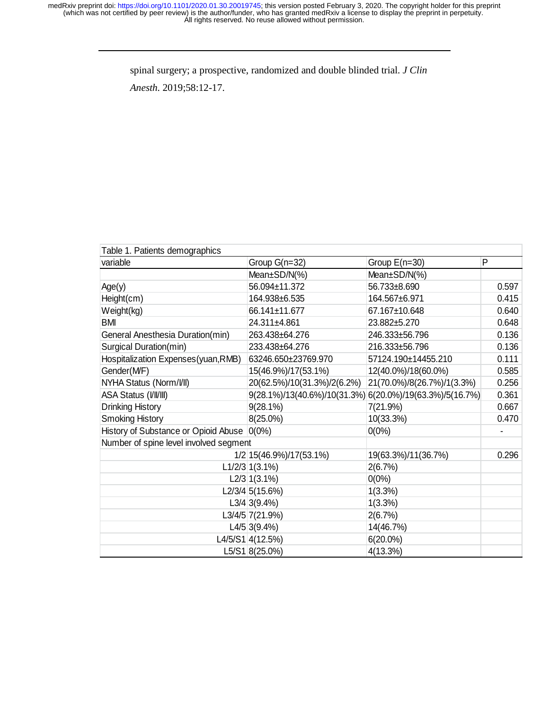spinal surgery; a prospective, randomized and double blinded trial. *J Clin* 

*Anesth.* 2019;58:12-17.

| Table 1. Patients demographics               |                                                          |                            |                          |  |  |  |  |
|----------------------------------------------|----------------------------------------------------------|----------------------------|--------------------------|--|--|--|--|
| variable                                     | Group G(n=32)                                            | Group $E(n=30)$            | P                        |  |  |  |  |
|                                              | Mean $\pm$ SD/N(%)                                       | $Mean\pm SD/N(%)$          |                          |  |  |  |  |
| Age(y)                                       | 56.094±11.372                                            | 56.733±8.690               | 0.597                    |  |  |  |  |
| Height(cm)                                   | 164.938±6.535                                            | 164.567±6.971              | 0.415                    |  |  |  |  |
| Weight(kg)                                   | 66.141±11.677                                            | 67.167±10.648              | 0.640                    |  |  |  |  |
| BMI                                          | 24.311±4.861                                             | 23.882±5.270               | 0.648                    |  |  |  |  |
| General Anesthesia Duration(min)             | 263.438±64.276                                           | 246.333±56.796             | 0.136                    |  |  |  |  |
| Surgical Duration(min)                       | 233.438±64.276                                           | 216.333±56.796             | 0.136                    |  |  |  |  |
| Hospitalization Expenses(yuan, RMB)          | 63246.650±23769.970                                      | 57124.190±14455.210        | 0.111                    |  |  |  |  |
| Gender(MF)                                   | 15(46.9%)/17(53.1%)                                      | 12(40.0%)/18(60.0%)        | 0.585                    |  |  |  |  |
| NYHA Status (Norm/VII)                       | 20(62.5%)/10(31.3%)/2(6.2%)                              | 21(70.0%)/8(26.7%)/1(3.3%) | 0.256                    |  |  |  |  |
| ASA Status (VIVIII)                          | 9(28.1%)/13(40.6%)/10(31.3%) 6(20.0%)/19(63.3%)/5(16.7%) |                            | 0.361                    |  |  |  |  |
| Drinking History                             | $9(28.1\%)$                                              | 7(21.9%)                   | 0.667                    |  |  |  |  |
| <b>Smoking History</b>                       | 8(25.0%)                                                 | 10(33.3%)                  | 0.470                    |  |  |  |  |
| History of Substance or Opioid Abuse   0(0%) |                                                          | $0(0\%)$                   | $\overline{\phantom{0}}$ |  |  |  |  |
| Number of spine level involved segment       |                                                          |                            |                          |  |  |  |  |
|                                              | 1/2 15 (46.9%) / 17 (53.1%)                              | 19(63.3%)/11(36.7%)        | 0.296                    |  |  |  |  |
|                                              | $L1/2/3$ 1(3.1%)                                         | 2(6.7%)                    |                          |  |  |  |  |
|                                              | $L2/3$ 1(3.1%)                                           | $0(0\%)$                   |                          |  |  |  |  |
|                                              | L2/3/4 5(15.6%)                                          | 1(3.3%)                    |                          |  |  |  |  |
|                                              | $L3/4$ 3(9.4%)                                           | 1(3.3%)                    |                          |  |  |  |  |
|                                              | L3/4/5 7(21.9%)                                          | 2(6.7%)                    |                          |  |  |  |  |
|                                              | $L4/5$ 3(9.4%)                                           | 14(46.7%)                  |                          |  |  |  |  |
|                                              | L4/5/S1 4(12.5%)                                         | $6(20.0\%)$                |                          |  |  |  |  |
|                                              | L5/S1 8(25.0%)                                           | 4(13.3%)                   |                          |  |  |  |  |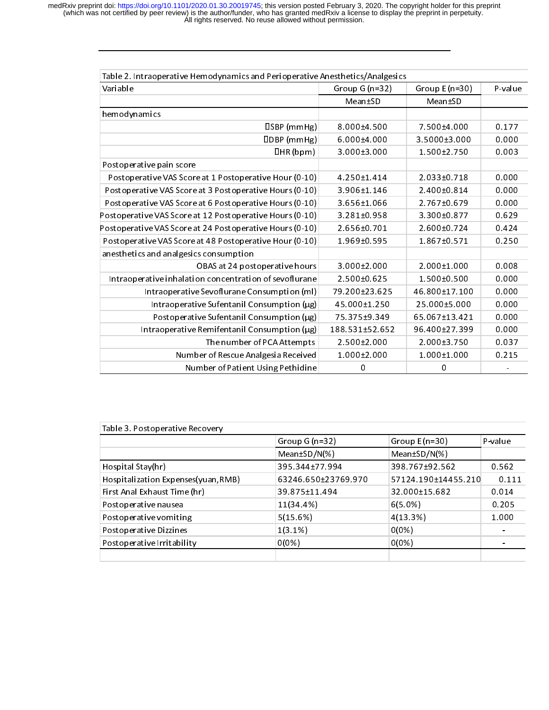| Table 2. Intraoperative Hemodynamics and Perioperative Anesthetics/Analgesics |                |                  |         |  |  |  |
|-------------------------------------------------------------------------------|----------------|------------------|---------|--|--|--|
| Variable                                                                      | Group G (n=32) | Group E $(n=30)$ | P-value |  |  |  |
|                                                                               | Mean±SD        | Mean±SD          |         |  |  |  |
| hemodynamics                                                                  |                |                  |         |  |  |  |
| ISBN(mmHg)                                                                    | 8 000±4 500    | 7 500±4 000      | 0.177   |  |  |  |
| <b>IDBP</b> (mmHg)                                                            | 6 000±4 000    | 3.5000±3.000     | 0.000   |  |  |  |
| UHR (bpm)                                                                     | 3.000±3.000    | 1 500+2 750      | 0.003   |  |  |  |
| Post operative pain score                                                     |                |                  |         |  |  |  |
| Postoperative VAS Score at 1 Postoperative Hour (0-10)                        | 4 250±1 414    | 2 033 ± 0.718    | 0.000   |  |  |  |
| Postoperative VAS Score at 3 Postoperative Hours (0-10)                       | 3 906±1 146    | 2.400±0.814      | 0.000   |  |  |  |
| Postoperative VAS Score at 6 Postoperative Hours (0-10)                       | 3 656±1 066    | 2 767±0 679      | 0.000   |  |  |  |
| Postoperative VAS Score at 12 Postoperative Hours (0-10)                      | 3.281±0.958    | 3 300±0 877      | 0.629   |  |  |  |
| Postoperative VAS Score at 24 Postoperative Hours (0-10)                      | 2 656 ± 0 701  | 2.600±0.724      | 0.424   |  |  |  |
| Postoperative VAS Score at 48 Postoperative Hour (0-10)                       | 1 969±0 595    | 1867±0571        | 0.250   |  |  |  |
| anesthetics and analgesics consumption                                        |                |                  |         |  |  |  |
| OBAS at 24 postoperative hours                                                | 3 000±2 000    | 2 000±1 000      | 0.008   |  |  |  |
| Intraoperative inhalation concentration of sevoflurane                        | $2.500+0.625$  | 1 500±0 500      | 0.000   |  |  |  |
| Intraoperative Sevoflurane Consumption (ml)                                   | 79 200±23 625  | 46 800±17 100    | 0.000   |  |  |  |
| Intraoperative Sufentanil Consumption $(\mu g)$                               | 45 000±1 250   | 25.000±5.000     | 0.000   |  |  |  |
| Postoperative Sufentanil Consumption (µg)                                     | 75 375 ± 9349  | 65 067±13 421    | 0.000   |  |  |  |
| Intraoperative Remifentanil Consumption $(\mu g)$                             | 188.531±52.652 | 96 400±27 399    | 0.000   |  |  |  |
| The number of PCA Attempts                                                    | $2.500+2.000$  | 2 000±3 750      | 0.037   |  |  |  |
| Number of Rescue Analgesia Received                                           | 1 000±2 000    | 1 000±1 000      | 0.215   |  |  |  |
| Number of Patient Using Pethidine                                             | 0              | 0                | ۰       |  |  |  |

| Table 3 Postoperative Recovery      |                     |                     |         |
|-------------------------------------|---------------------|---------------------|---------|
|                                     | Group $G(n=32)$     | Group $E(n=30)$     | P-value |
|                                     | Mean±SD/N(%)        | Mean±SD/N(%)        |         |
| Hospital Stay(hr)                   | 395 344±77 994      | 398 767±92 562      | 0.562   |
| Hospitalization Expenses(yuan, RMB) | 63246 650±23769 970 | 57124 190±14455 210 | 0.111   |
| First Anal Exhaust Time (hr)        | 39 875±11 494       | 32 000±15 682       | 0.014   |
| Post operative nausea               | 11(34.4%)           | 6(5.0%)             | 0.205   |
| Postoperative vomiting              | 5(15.6%)            | 4(13.3%)            | 1.000   |
| Post operative Dizzines             | 1(3.1%)             | 0(0%)               |         |
| Post operative Irritability         | 0(0%)               | 0(0%)               |         |
|                                     |                     |                     |         |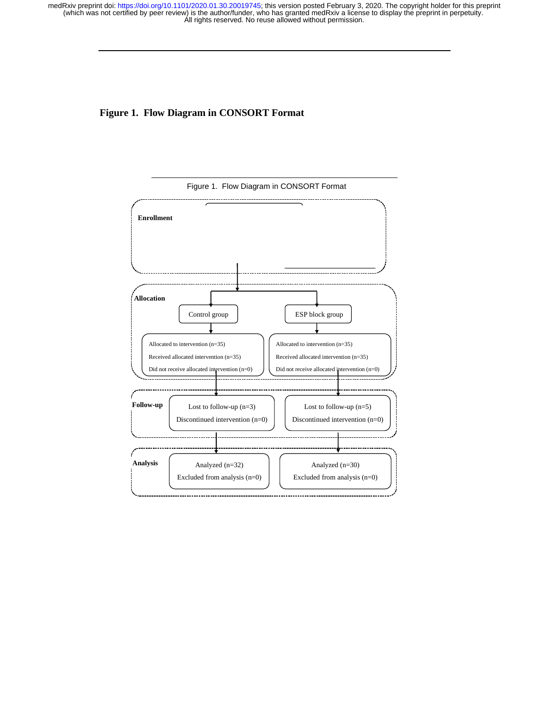# **Figure 1. Flow Diagram in CONSORT Format**



Figure 1. Flow Diagram in CONSORT Format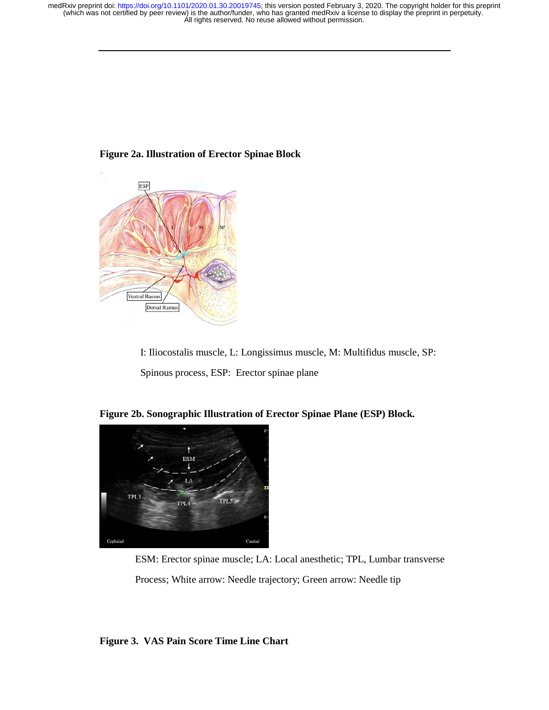

# **Figure 2a. Illustration of Erector Spinae Block**

I: Iliocostalis muscle, L: Longissimus muscle, M: Multifidus muscle, SP: Spinous process, ESP: Erector spinae plane



**Figure 2b. Sonographic Illustration of Erector Spinae Plane (ESP) Block.** 

 ESM: Erector spinae muscle; LA: Local anesthetic; TPL, Lumbar transverse Process; White arrow: Needle trajectory; Green arrow: Needle tip

**Figure 3. VAS Pain Score Time Line Chart**